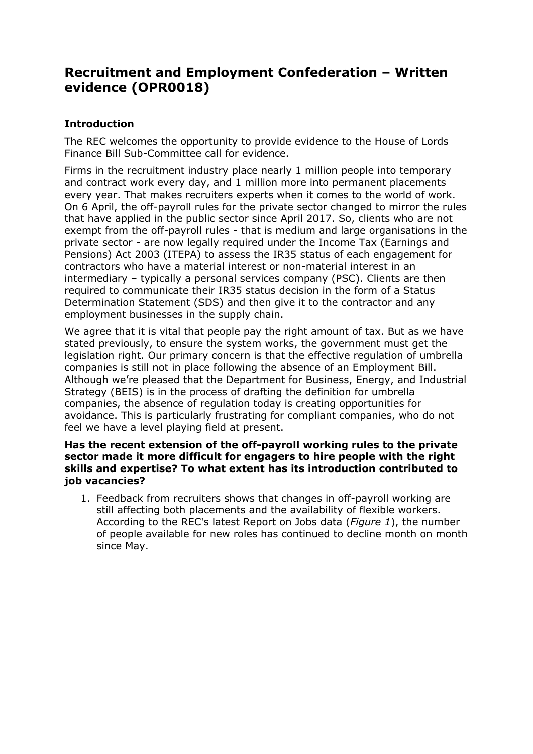# **Recruitment and Employment Confederation – Written evidence (OPR0018)**

# **Introduction**

The REC welcomes the opportunity to provide evidence to the House of Lords Finance Bill Sub-Committee call for evidence.

Firms in the recruitment industry place nearly 1 million people into temporary and contract work every day, and 1 million more into permanent placements every year. That makes recruiters experts when it comes to the world of work. On 6 April, the off-payroll rules for the private sector changed to mirror the rules that have applied in the public sector since April 2017. So, clients who are not exempt from the off-payroll rules - that is medium and large organisations in the private sector - are now legally required under the Income Tax (Earnings and Pensions) Act 2003 (ITEPA) to assess the IR35 status of each engagement for contractors who have a material interest or non-material interest in an intermediary – typically a personal services company (PSC). Clients are then required to communicate their IR35 status decision in the form of a Status Determination Statement (SDS) and then give it to the contractor and any employment businesses in the supply chain.

We agree that it is vital that people pay the right amount of tax. But as we have stated previously, to ensure the system works, the government must get the legislation right. Our primary concern is that the effective regulation of umbrella companies is still not in place following the absence of an Employment Bill. Although we're pleased that the Department for Business, Energy, and Industrial Strategy (BEIS) is in the process of drafting the definition for umbrella companies, the absence of regulation today is creating opportunities for avoidance. This is particularly frustrating for compliant companies, who do not feel we have a level playing field at present.

# **Has the recent extension of the off-payroll working rules to the private sector made it more difficult for engagers to hire people with the right skills and expertise? To what extent has its introduction contributed to job vacancies?**

1. Feedback from recruiters shows that changes in off-payroll working are still affecting both placements and the availability of flexible workers. According to the REC's latest Report on Jobs data (*Figure 1*), the number of people available for new roles has continued to decline month on month since May.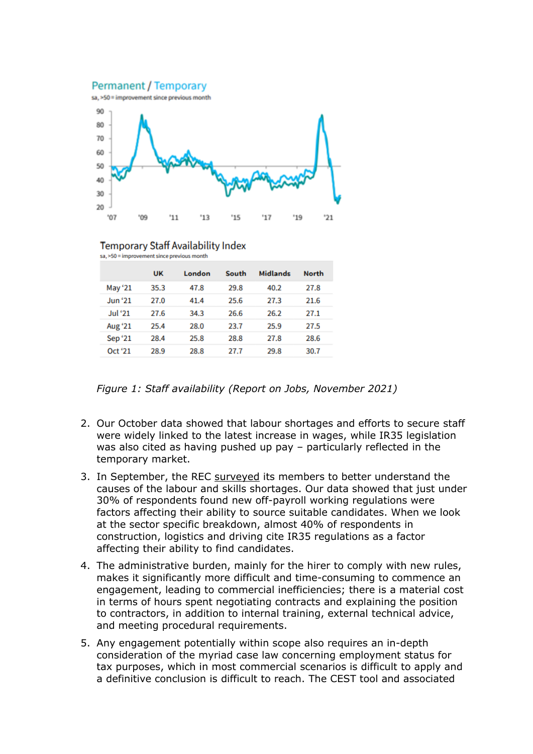





**Temporary Staff Availability Index** sa, >50 = improvement since previous month

|                | <b>UK</b> | London | South | <b>Midlands</b> | <b>North</b> |
|----------------|-----------|--------|-------|-----------------|--------------|
| May '21        | 35.3      | 47.8   | 29.8  | 40.2            | 27.8         |
| Jun '21        | 27.0      | 41.4   | 25.6  | 27.3            | 21.6         |
| <b>Jul '21</b> | 27.6      | 34.3   | 26.6  | 26.2            | 27.1         |
| Aug '21        | 25.4      | 28.0   | 23.7  | 25.9            | 27.5         |
| Sep '21        | 28.4      | 25.8   | 28.8  | 27.8            | 28.6         |
| Oct '21        | 28.9      | 28.8   | 27.7  | 29.8            | 30.7         |

*Figure 1: Staff availability (Report on Jobs, November 2021)*

- 2. Our October data showed that labour shortages and efforts to secure staff were widely linked to the latest increase in wages, while IR35 legislation was also cited as having pushed up pay – particularly reflected in the temporary market.
- 3. In September, the REC [surveyed](https://www.rec.uk.com/our-view/research/industry-analysis/labour-and-skills-shortages) its members to better understand the causes of the labour and skills shortages. Our data showed that just under 30% of respondents found new off-payroll working regulations were factors affecting their ability to source suitable candidates. When we look at the sector specific breakdown, almost 40% of respondents in construction, logistics and driving cite IR35 regulations as a factor affecting their ability to find candidates.
- 4. The administrative burden, mainly for the hirer to comply with new rules, makes it significantly more difficult and time-consuming to commence an engagement, leading to commercial inefficiencies; there is a material cost in terms of hours spent negotiating contracts and explaining the position to contractors, in addition to internal training, external technical advice, and meeting procedural requirements.
- 5. Any engagement potentially within scope also requires an in-depth consideration of the myriad case law concerning employment status for tax purposes, which in most commercial scenarios is difficult to apply and a definitive conclusion is difficult to reach. The CEST tool and associated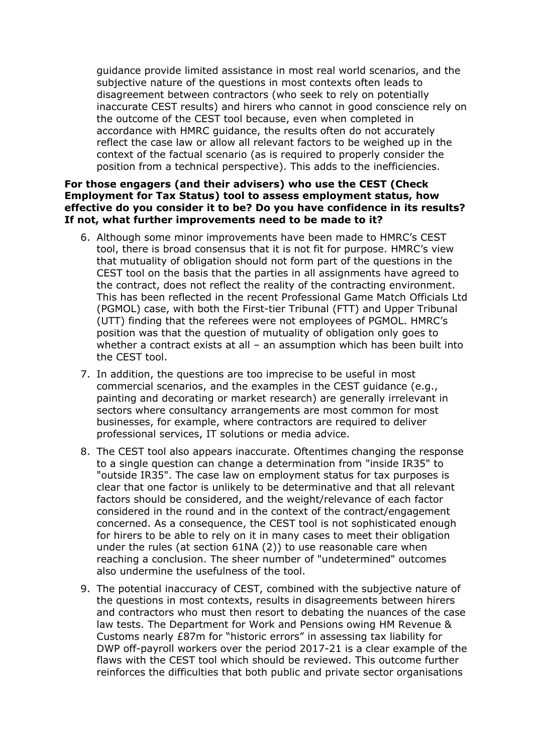guidance provide limited assistance in most real world scenarios, and the subjective nature of the questions in most contexts often leads to disagreement between contractors (who seek to rely on potentially inaccurate CEST results) and hirers who cannot in good conscience rely on the outcome of the CEST tool because, even when completed in accordance with HMRC guidance, the results often do not accurately reflect the case law or allow all relevant factors to be weighed up in the context of the factual scenario (as is required to properly consider the position from a technical perspective). This adds to the inefficiencies.

# **For those engagers (and their advisers) who use the CEST (Check Employment for Tax Status) tool to assess employment status, how effective do you consider it to be? Do you have confidence in its results? If not, what further improvements need to be made to it?**

- 6. Although some minor improvements have been made to HMRC's CEST tool, there is broad consensus that it is not fit for purpose. HMRC's view that mutuality of obligation should not form part of the questions in the CEST tool on the basis that the parties in all assignments have agreed to the contract, does not reflect the reality of the contracting environment. This has been reflected in the recent Professional Game Match Officials Ltd (PGMOL) case, with both the First-tier Tribunal (FTT) and Upper Tribunal (UTT) finding that the referees were not employees of PGMOL. HMRC's position was that the question of mutuality of obligation only goes to whether a contract exists at all – an assumption which has been built into the CEST tool.
- 7. In addition, the questions are too imprecise to be useful in most commercial scenarios, and the examples in the CEST guidance (e.g., painting and decorating or market research) are generally irrelevant in sectors where consultancy arrangements are most common for most businesses, for example, where contractors are required to deliver professional services, IT solutions or media advice.
- 8. The CEST tool also appears inaccurate. Oftentimes changing the response to a single question can change a determination from "inside IR35" to "outside IR35". The case law on employment status for tax purposes is clear that one factor is unlikely to be determinative and that all relevant factors should be considered, and the weight/relevance of each factor considered in the round and in the context of the contract/engagement concerned. As a consequence, the CEST tool is not sophisticated enough for hirers to be able to rely on it in many cases to meet their obligation under the rules (at section 61NA (2)) to use reasonable care when reaching a conclusion. The sheer number of "undetermined" outcomes also undermine the usefulness of the tool.
- 9. The potential inaccuracy of CEST, combined with the subjective nature of the questions in most contexts, results in disagreements between hirers and contractors who must then resort to debating the nuances of the case law tests. The Department for Work and Pensions owing HM Revenue & Customs nearly £87m for "historic errors" in assessing tax liability for DWP off-payroll workers over the period 2017-21 is a clear example of the flaws with the CEST tool which should be reviewed. This outcome further reinforces the difficulties that both public and private sector organisations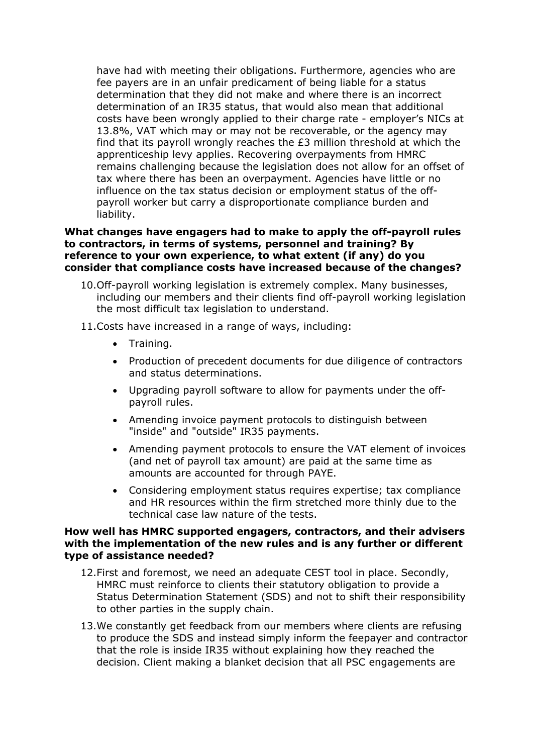have had with meeting their obligations. Furthermore, agencies who are fee payers are in an unfair predicament of being liable for a status determination that they did not make and where there is an incorrect determination of an IR35 status, that would also mean that additional costs have been wrongly applied to their charge rate - employer's NICs at 13.8%, VAT which may or may not be recoverable, or the agency may find that its payroll wrongly reaches the £3 million threshold at which the apprenticeship levy applies. Recovering overpayments from HMRC remains challenging because the legislation does not allow for an offset of tax where there has been an overpayment. Agencies have little or no influence on the tax status decision or employment status of the offpayroll worker but carry a disproportionate compliance burden and liability.

# **What changes have engagers had to make to apply the off-payroll rules to contractors, in terms of systems, personnel and training? By reference to your own experience, to what extent (if any) do you consider that compliance costs have increased because of the changes?**

- 10.Off-payroll working legislation is extremely complex. Many businesses, including our members and their clients find off-payroll working legislation the most difficult tax legislation to understand.
- 11.Costs have increased in a range of ways, including:
	- Training.
	- Production of precedent documents for due diligence of contractors and status determinations.
	- Upgrading payroll software to allow for payments under the offpayroll rules.
	- Amending invoice payment protocols to distinguish between "inside" and "outside" IR35 payments.
	- Amending payment protocols to ensure the VAT element of invoices (and net of payroll tax amount) are paid at the same time as amounts are accounted for through PAYE.
	- Considering employment status requires expertise; tax compliance and HR resources within the firm stretched more thinly due to the technical case law nature of the tests.

#### **How well has HMRC supported engagers, contractors, and their advisers with the implementation of the new rules and is any further or different type of assistance needed?**

- 12.First and foremost, we need an adequate CEST tool in place. Secondly, HMRC must reinforce to clients their statutory obligation to provide a Status Determination Statement (SDS) and not to shift their responsibility to other parties in the supply chain.
- 13.We constantly get feedback from our members where clients are refusing to produce the SDS and instead simply inform the feepayer and contractor that the role is inside IR35 without explaining how they reached the decision. Client making a blanket decision that all PSC engagements are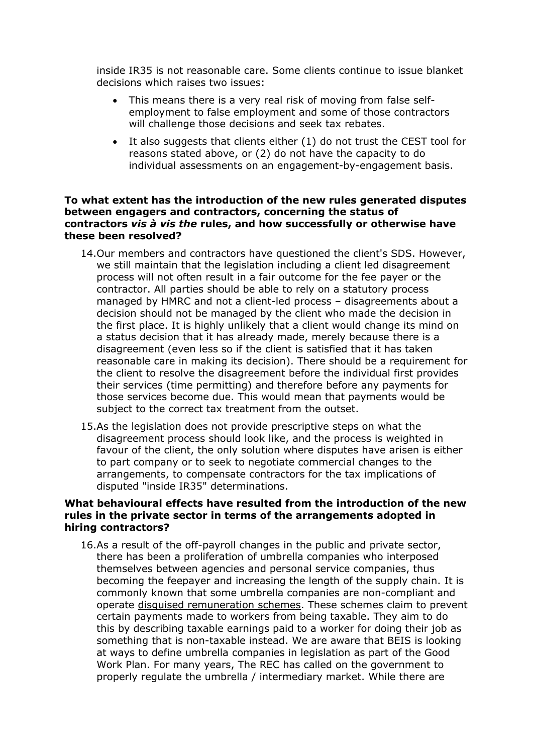inside IR35 is not reasonable care. Some clients continue to issue blanket decisions which raises two issues:

- This means there is a very real risk of moving from false selfemployment to false employment and some of those contractors will challenge those decisions and seek tax rebates.
- It also suggests that clients either (1) do not trust the CEST tool for reasons stated above, or (2) do not have the capacity to do individual assessments on an engagement-by-engagement basis.

# **To what extent has the introduction of the new rules generated disputes between engagers and contractors, concerning the status of contractors** *vis à vis the* **rules, and how successfully or otherwise have these been resolved?**

- 14.Our members and contractors have questioned the client's SDS. However, we still maintain that the legislation including a client led disagreement process will not often result in a fair outcome for the fee payer or the contractor. All parties should be able to rely on a statutory process managed by HMRC and not a client-led process – disagreements about a decision should not be managed by the client who made the decision in the first place. It is highly unlikely that a client would change its mind on a status decision that it has already made, merely because there is a disagreement (even less so if the client is satisfied that it has taken reasonable care in making its decision). There should be a requirement for the client to resolve the disagreement before the individual first provides their services (time permitting) and therefore before any payments for those services become due. This would mean that payments would be subject to the correct tax treatment from the outset.
- 15.As the legislation does not provide prescriptive steps on what the disagreement process should look like, and the process is weighted in favour of the client, the only solution where disputes have arisen is either to part company or to seek to negotiate commercial changes to the arrangements, to compensate contractors for the tax implications of disputed "inside IR35" determinations.

# **What behavioural effects have resulted from the introduction of the new rules in the private sector in terms of the arrangements adopted in hiring contractors?**

16.As a result of the off-payroll changes in the public and private sector, there has been a proliferation of umbrella companies who interposed themselves between agencies and personal service companies, thus becoming the feepayer and increasing the length of the supply chain. It is commonly known that some umbrella companies are non-compliant and operate [disguised](https://www.gov.uk/government/collections/tax-avoidance-disguised-remuneration) [remuneration](https://www.gov.uk/government/collections/tax-avoidance-disguised-remuneration) [schemes](https://www.gov.uk/government/collections/tax-avoidance-disguised-remuneration). These schemes claim to prevent certain payments made to workers from being taxable. They aim to do this by describing taxable earnings paid to a worker for doing their job as something that is non-taxable instead. We are aware that BEIS is looking at ways to define umbrella companies in legislation as part of the Good Work Plan. For many years, The REC has called on the government to properly regulate the umbrella / intermediary market. While there are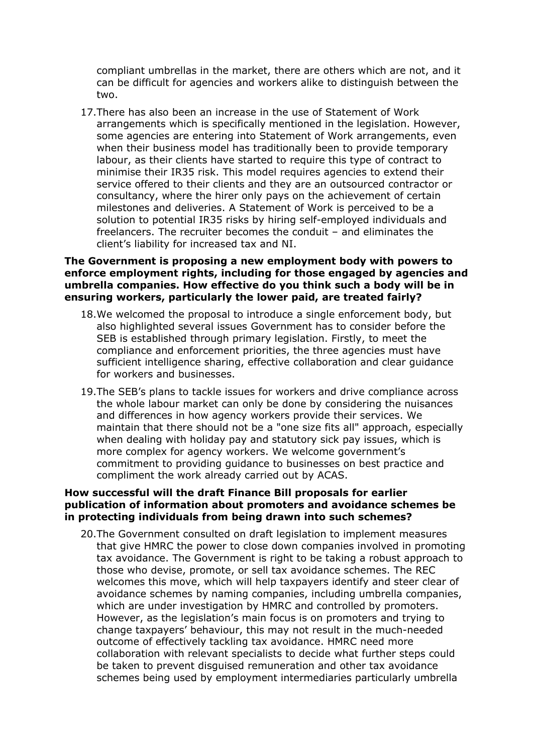compliant umbrellas in the market, there are others which are not, and it can be difficult for agencies and workers alike to distinguish between the two.

17.There has also been an increase in the use of Statement of Work arrangements which is specifically mentioned in the legislation. However, some agencies are entering into Statement of Work arrangements, even when their business model has traditionally been to provide temporary labour, as their clients have started to require this type of contract to minimise their IR35 risk. This model requires agencies to extend their service offered to their clients and they are an outsourced contractor or consultancy, where the hirer only pays on the achievement of certain milestones and deliveries. A Statement of Work is perceived to be a solution to potential IR35 risks by hiring self-employed individuals and freelancers. The recruiter becomes the conduit – and eliminates the client's liability for increased tax and NI.

#### **The Government is proposing a new employment body with powers to enforce employment rights, including for those engaged by agencies and umbrella companies. How effective do you think such a body will be in ensuring workers, particularly the lower paid, are treated fairly?**

- 18.We welcomed the proposal to introduce a single enforcement body, but also highlighted several issues Government has to consider before the SEB is established through primary legislation. Firstly, to meet the compliance and enforcement priorities, the three agencies must have sufficient intelligence sharing, effective collaboration and clear guidance for workers and businesses.
- 19.The SEB's plans to tackle issues for workers and drive compliance across the whole labour market can only be done by considering the nuisances and differences in how agency workers provide their services. We maintain that there should not be a "one size fits all" approach, especially when dealing with holiday pay and statutory sick pay issues, which is more complex for agency workers. We welcome government's commitment to providing guidance to businesses on best practice and compliment the work already carried out by ACAS.

#### **How successful will the draft Finance Bill proposals for earlier publication of information about promoters and avoidance schemes be in protecting individuals from being drawn into such schemes?**

20.The Government consulted on draft legislation to implement measures that give HMRC the power to close down companies involved in promoting tax avoidance. The Government is right to be taking a robust approach to those who devise, promote, or sell tax avoidance schemes. The REC welcomes this move, which will help taxpayers identify and steer clear of avoidance schemes by naming companies, including umbrella companies, which are under investigation by HMRC and controlled by promoters. However, as the legislation's main focus is on promoters and trying to change taxpayers' behaviour, this may not result in the much-needed outcome of effectively tackling tax avoidance. HMRC need more collaboration with relevant specialists to decide what further steps could be taken to prevent disguised remuneration and other tax avoidance schemes being used by employment intermediaries particularly umbrella